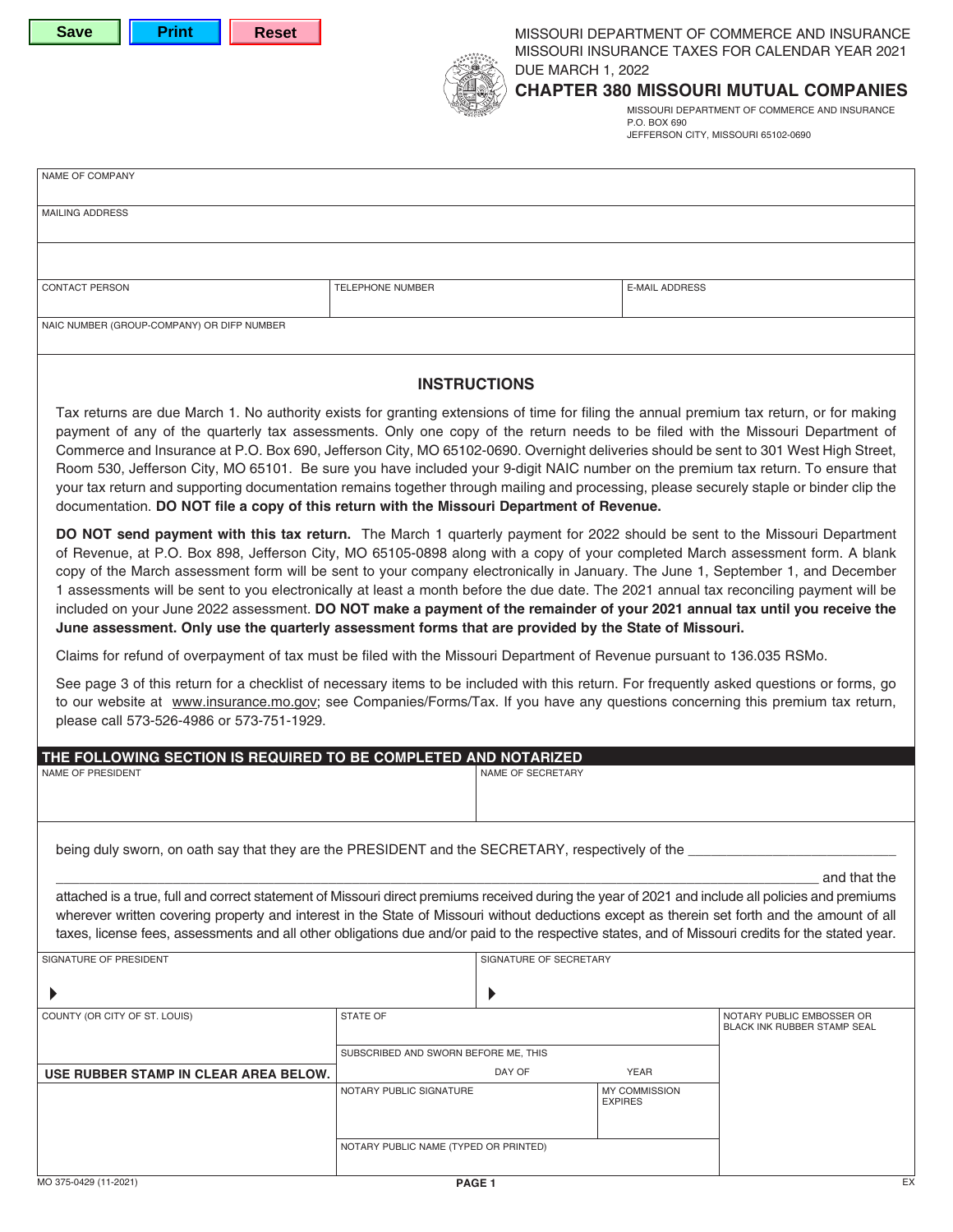

MISSOURI DEPARTMENT OF COMMERCE AND INSURANCE MISSOURI INSURANCE TAXES FOR CALENDAR YEAR 2021 DUE MARCH 1, 2022



## **CHAPTER 380 MISSOURI MUTUAL COMPANIES**

MISSOURI DEPARTMENT OF COMMERCE AND INSURANCE P.O. BOX 690 JEFFERSON CITY, MISSOURI 65102-0690

| NAME OF COMPANY                                                                                                                                                                                                                                                                                                                                                                                                                                                                                                                                                                                                                                                                                                                                                                               |                                                                                                                         |                        |                              |                             |  |
|-----------------------------------------------------------------------------------------------------------------------------------------------------------------------------------------------------------------------------------------------------------------------------------------------------------------------------------------------------------------------------------------------------------------------------------------------------------------------------------------------------------------------------------------------------------------------------------------------------------------------------------------------------------------------------------------------------------------------------------------------------------------------------------------------|-------------------------------------------------------------------------------------------------------------------------|------------------------|------------------------------|-----------------------------|--|
| MAILING ADDRESS                                                                                                                                                                                                                                                                                                                                                                                                                                                                                                                                                                                                                                                                                                                                                                               |                                                                                                                         |                        |                              |                             |  |
|                                                                                                                                                                                                                                                                                                                                                                                                                                                                                                                                                                                                                                                                                                                                                                                               |                                                                                                                         |                        |                              |                             |  |
|                                                                                                                                                                                                                                                                                                                                                                                                                                                                                                                                                                                                                                                                                                                                                                                               |                                                                                                                         |                        |                              |                             |  |
| <b>CONTACT PERSON</b>                                                                                                                                                                                                                                                                                                                                                                                                                                                                                                                                                                                                                                                                                                                                                                         | <b>TELEPHONE NUMBER</b>                                                                                                 |                        | <b>E-MAIL ADDRESS</b>        |                             |  |
| NAIC NUMBER (GROUP-COMPANY) OR DIFP NUMBER                                                                                                                                                                                                                                                                                                                                                                                                                                                                                                                                                                                                                                                                                                                                                    |                                                                                                                         |                        |                              |                             |  |
|                                                                                                                                                                                                                                                                                                                                                                                                                                                                                                                                                                                                                                                                                                                                                                                               |                                                                                                                         | <b>INSTRUCTIONS</b>    |                              |                             |  |
| Tax returns are due March 1. No authority exists for granting extensions of time for filing the annual premium tax return, or for making<br>payment of any of the quarterly tax assessments. Only one copy of the return needs to be filed with the Missouri Department of<br>Commerce and Insurance at P.O. Box 690, Jefferson City, MO 65102-0690. Overnight deliveries should be sent to 301 West High Street,<br>Room 530, Jefferson City, MO 65101. Be sure you have included your 9-digit NAIC number on the premium tax return. To ensure that<br>your tax return and supporting documentation remains together through mailing and processing, please securely staple or binder clip the<br>documentation. DO NOT file a copy of this return with the Missouri Department of Revenue. |                                                                                                                         |                        |                              |                             |  |
| DO NOT send payment with this tax return. The March 1 quarterly payment for 2022 should be sent to the Missouri Department<br>of Revenue, at P.O. Box 898, Jefferson City, MO 65105-0898 along with a copy of your completed March assessment form. A blank<br>copy of the March assessment form will be sent to your company electronically in January. The June 1, September 1, and December<br>1 assessments will be sent to you electronically at least a month before the due date. The 2021 annual tax reconciling payment will be<br>included on your June 2022 assessment. DO NOT make a payment of the remainder of your 2021 annual tax until you receive the<br>June assessment. Only use the quarterly assessment forms that are provided by the State of Missouri.               |                                                                                                                         |                        |                              |                             |  |
|                                                                                                                                                                                                                                                                                                                                                                                                                                                                                                                                                                                                                                                                                                                                                                                               | Claims for refund of overpayment of tax must be filed with the Missouri Department of Revenue pursuant to 136.035 RSMo. |                        |                              |                             |  |
| See page 3 of this return for a checklist of necessary items to be included with this return. For frequently asked questions or forms, go<br>to our website at www.insurance.mo.gov; see Companies/Forms/Tax. If you have any questions concerning this premium tax return,<br>please call 573-526-4986 or 573-751-1929.                                                                                                                                                                                                                                                                                                                                                                                                                                                                      |                                                                                                                         |                        |                              |                             |  |
| THE FOLLOWING SECTION IS REQUIRED TO BE COMPLETED AND NOTARIZED                                                                                                                                                                                                                                                                                                                                                                                                                                                                                                                                                                                                                                                                                                                               |                                                                                                                         |                        |                              |                             |  |
| NAME OF PRESIDENT                                                                                                                                                                                                                                                                                                                                                                                                                                                                                                                                                                                                                                                                                                                                                                             |                                                                                                                         | NAME OF SECRETARY      |                              |                             |  |
| being duly sworn, on oath say that they are the PRESIDENT and the SECRETARY, respectively of the                                                                                                                                                                                                                                                                                                                                                                                                                                                                                                                                                                                                                                                                                              |                                                                                                                         |                        |                              |                             |  |
|                                                                                                                                                                                                                                                                                                                                                                                                                                                                                                                                                                                                                                                                                                                                                                                               |                                                                                                                         |                        |                              | and that the                |  |
| attached is a true, full and correct statement of Missouri direct premiums received during the year of 2021 and include all policies and premiums<br>wherever written covering property and interest in the State of Missouri without deductions except as therein set forth and the amount of all<br>taxes, license fees, assessments and all other obligations due and/or paid to the respective states, and of Missouri credits for the stated year.                                                                                                                                                                                                                                                                                                                                       |                                                                                                                         |                        |                              |                             |  |
| SIGNATURE OF PRESIDENT                                                                                                                                                                                                                                                                                                                                                                                                                                                                                                                                                                                                                                                                                                                                                                        |                                                                                                                         | SIGNATURE OF SECRETARY |                              |                             |  |
|                                                                                                                                                                                                                                                                                                                                                                                                                                                                                                                                                                                                                                                                                                                                                                                               |                                                                                                                         | ▶                      |                              |                             |  |
| COUNTY (OR CITY OF ST. LOUIS)                                                                                                                                                                                                                                                                                                                                                                                                                                                                                                                                                                                                                                                                                                                                                                 | STATE OF                                                                                                                |                        |                              | NOTARY PUBLIC EMBOSSER OR   |  |
|                                                                                                                                                                                                                                                                                                                                                                                                                                                                                                                                                                                                                                                                                                                                                                                               |                                                                                                                         |                        |                              | BLACK INK RUBBER STAMP SEAL |  |
|                                                                                                                                                                                                                                                                                                                                                                                                                                                                                                                                                                                                                                                                                                                                                                                               | SUBSCRIBED AND SWORN BEFORE ME, THIS                                                                                    |                        |                              |                             |  |
| USE RUBBER STAMP IN CLEAR AREA BELOW.                                                                                                                                                                                                                                                                                                                                                                                                                                                                                                                                                                                                                                                                                                                                                         | NOTARY PUBLIC SIGNATURE                                                                                                 | DAY OF                 | <b>YEAR</b><br>MY COMMISSION |                             |  |
|                                                                                                                                                                                                                                                                                                                                                                                                                                                                                                                                                                                                                                                                                                                                                                                               |                                                                                                                         |                        | <b>EXPIRES</b>               |                             |  |
|                                                                                                                                                                                                                                                                                                                                                                                                                                                                                                                                                                                                                                                                                                                                                                                               | NOTARY PUBLIC NAME (TYPED OR PRINTED)                                                                                   |                        |                              |                             |  |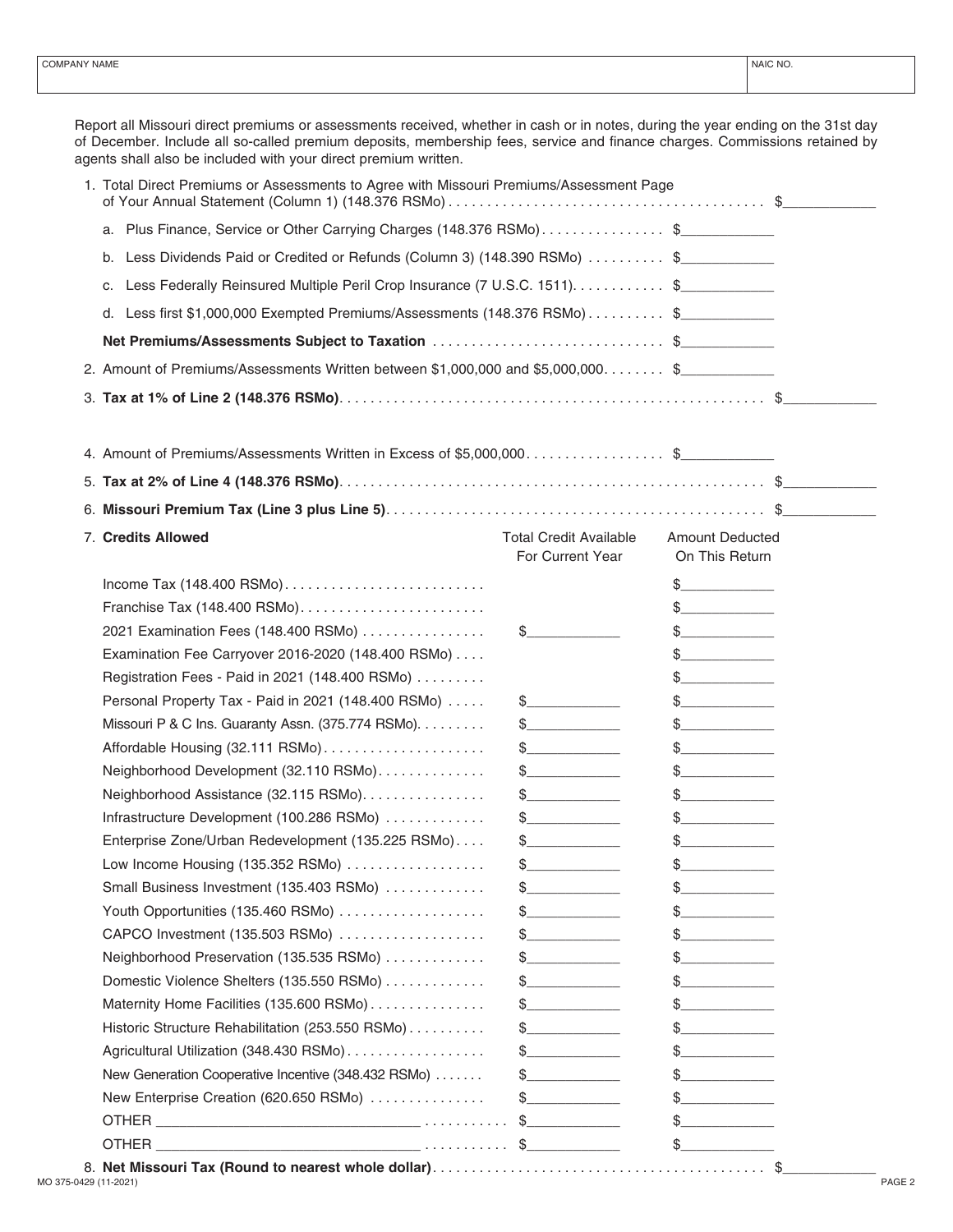Report all Missouri direct premiums or assessments received, whether in cash or in notes, during the year ending on the 31st day of December. Include all so-called premium deposits, membership fees, service and finance charges. Commissions retained by agents shall also be included with your direct premium written.

| Plus Finance, Service or Other Carrying Charges (148.376 RSMo)\$<br>a.<br>Less Dividends Paid or Credited or Refunds (Column 3) (148.390 RSMo)  \$<br>b.<br>Less Federally Reinsured Multiple Peril Crop Insurance (7 U.S.C. 1511). \$______________<br>c.<br>Less first \$1,000,000 Exempted Premiums/Assessments (148.376 RSMo) \$<br>d.<br>Net Premiums/Assessments Subject to Taxation \$<br>2. Amount of Premiums/Assessments Written between \$1,000,000 and \$5,000,000 \$<br>4. Amount of Premiums/Assessments Written in Excess of \$5,000,000\$<br>7. Credits Allowed<br><b>Total Credit Available</b><br><b>Amount Deducted</b><br>On This Return<br>For Current Year<br>$\frac{1}{2}$<br>Franchise Tax (148.400 RSMo)<br>$\frac{1}{2}$<br>2021 Examination Fees (148.400 RSMo)<br>$\frac{1}{2}$<br>$\frac{1}{2}$<br>Examination Fee Carryover 2016-2020 (148.400 RSMo)<br>$\frac{1}{2}$<br>Registration Fees - Paid in 2021 (148.400 RSMo)<br>$\frac{1}{2}$<br>Personal Property Tax - Paid in 2021 (148.400 RSMo)<br>$\frac{1}{2}$<br>$\frac{1}{2}$<br>Missouri P & C Ins. Guaranty Assn. (375.774 RSMo).<br>$\frac{1}{2}$<br>$\frac{1}{2}$<br>Affordable Housing (32.111 RSMo)<br>$\frac{1}{2}$<br>$\frac{1}{2}$<br>Neighborhood Development (32.110 RSMo).<br>$\frac{1}{2}$<br>$\frac{1}{2}$<br>Neighborhood Assistance (32.115 RSMo).<br>$\frac{1}{2}$<br>$\frac{1}{2}$<br>Infrastructure Development (100.286 RSMo)<br>$\frac{1}{2}$<br>$\frac{1}{2}$<br>Enterprise Zone/Urban Redevelopment (135.225 RSMo)<br>$\frac{1}{2}$<br>$\frac{1}{2}$<br>$\begin{picture}(20,20) \put(0,0){\line(1,0){10}} \put(15,0){\line(1,0){10}} \put(15,0){\line(1,0){10}} \put(15,0){\line(1,0){10}} \put(15,0){\line(1,0){10}} \put(15,0){\line(1,0){10}} \put(15,0){\line(1,0){10}} \put(15,0){\line(1,0){10}} \put(15,0){\line(1,0){10}} \put(15,0){\line(1,0){10}} \put(15,0){\line(1,0){10}} \put(15,0){\line(1$<br>Low Income Housing (135.352 RSMo)<br>$\frac{1}{2}$<br>Small Business Investment (135.403 RSMo)<br>$\frac{1}{2}$<br>$\frac{1}{2}$<br>Youth Opportunities (135.460 RSMo)<br>$\frac{1}{2}$<br>$\sim$<br>CAPCO Investment (135.503 RSMo)<br>$\frac{1}{2}$<br>$\frac{1}{2}$<br>Neighborhood Preservation (135.535 RSMo)<br>$\frac{1}{2}$<br>$\frac{1}{2}$<br>Domestic Violence Shelters (135.550 RSMo)<br>$\frac{1}{2}$<br>$\frac{1}{2}$<br>Maternity Home Facilities (135.600 RSMo)<br>$\frac{1}{2}$<br>$\begin{picture}(20,20) \put(0,0){\line(1,0){100}} \put(15,0){\line(1,0){100}} \put(15,0){\line(1,0){100}} \put(15,0){\line(1,0){100}} \put(15,0){\line(1,0){100}} \put(15,0){\line(1,0){100}} \put(15,0){\line(1,0){100}} \put(15,0){\line(1,0){100}} \put(15,0){\line(1,0){100}} \put(15,0){\line(1,0){100}} \put(15,0){\line(1,0){100}} \$<br>Historic Structure Rehabilitation (253.550 RSMo)<br>$\frac{1}{2}$<br>$\frac{1}{2}$<br>Agricultural Utilization (348.430 RSMo)<br>$\frac{1}{2}$<br>$\frac{1}{2}$<br>New Generation Cooperative Incentive (348.432 RSMo)<br>$\frac{1}{2}$<br>$\begin{array}{c} \text{\$} \end{array}$<br>New Enterprise Creation (620.650 RSMo)<br>$\frac{1}{2}$<br>$\frac{1}{2}$<br>$\frac{1}{2}$<br>$\frac{1}{2}$ | 1. Total Direct Premiums or Assessments to Agree with Missouri Premiums/Assessment Page |  |  |  |  |  |  |
|---------------------------------------------------------------------------------------------------------------------------------------------------------------------------------------------------------------------------------------------------------------------------------------------------------------------------------------------------------------------------------------------------------------------------------------------------------------------------------------------------------------------------------------------------------------------------------------------------------------------------------------------------------------------------------------------------------------------------------------------------------------------------------------------------------------------------------------------------------------------------------------------------------------------------------------------------------------------------------------------------------------------------------------------------------------------------------------------------------------------------------------------------------------------------------------------------------------------------------------------------------------------------------------------------------------------------------------------------------------------------------------------------------------------------------------------------------------------------------------------------------------------------------------------------------------------------------------------------------------------------------------------------------------------------------------------------------------------------------------------------------------------------------------------------------------------------------------------------------------------------------------------------------------------------------------------------------------------------------------------------------------------------------------------------------------------------------------------------------------------------------------------------------------------------------------------------------------------------------------------------------------------------------------------------------------------------------------------------------------------------------------------------------------------------------------------------------------------------------------------------------------------------------------------------------------------------------------------------------------------------------------------------------------------------------------------------------------------------------------------------------------------------------------------------------------------------------------------------------------------------------------------------------------------------------------------------------------------------------------------------------------------------------------------------------------------------------------------------------------------------------------------------------------------------------|-----------------------------------------------------------------------------------------|--|--|--|--|--|--|
|                                                                                                                                                                                                                                                                                                                                                                                                                                                                                                                                                                                                                                                                                                                                                                                                                                                                                                                                                                                                                                                                                                                                                                                                                                                                                                                                                                                                                                                                                                                                                                                                                                                                                                                                                                                                                                                                                                                                                                                                                                                                                                                                                                                                                                                                                                                                                                                                                                                                                                                                                                                                                                                                                                                                                                                                                                                                                                                                                                                                                                                                                                                                                                                 |                                                                                         |  |  |  |  |  |  |
|                                                                                                                                                                                                                                                                                                                                                                                                                                                                                                                                                                                                                                                                                                                                                                                                                                                                                                                                                                                                                                                                                                                                                                                                                                                                                                                                                                                                                                                                                                                                                                                                                                                                                                                                                                                                                                                                                                                                                                                                                                                                                                                                                                                                                                                                                                                                                                                                                                                                                                                                                                                                                                                                                                                                                                                                                                                                                                                                                                                                                                                                                                                                                                                 |                                                                                         |  |  |  |  |  |  |
|                                                                                                                                                                                                                                                                                                                                                                                                                                                                                                                                                                                                                                                                                                                                                                                                                                                                                                                                                                                                                                                                                                                                                                                                                                                                                                                                                                                                                                                                                                                                                                                                                                                                                                                                                                                                                                                                                                                                                                                                                                                                                                                                                                                                                                                                                                                                                                                                                                                                                                                                                                                                                                                                                                                                                                                                                                                                                                                                                                                                                                                                                                                                                                                 |                                                                                         |  |  |  |  |  |  |
|                                                                                                                                                                                                                                                                                                                                                                                                                                                                                                                                                                                                                                                                                                                                                                                                                                                                                                                                                                                                                                                                                                                                                                                                                                                                                                                                                                                                                                                                                                                                                                                                                                                                                                                                                                                                                                                                                                                                                                                                                                                                                                                                                                                                                                                                                                                                                                                                                                                                                                                                                                                                                                                                                                                                                                                                                                                                                                                                                                                                                                                                                                                                                                                 |                                                                                         |  |  |  |  |  |  |
|                                                                                                                                                                                                                                                                                                                                                                                                                                                                                                                                                                                                                                                                                                                                                                                                                                                                                                                                                                                                                                                                                                                                                                                                                                                                                                                                                                                                                                                                                                                                                                                                                                                                                                                                                                                                                                                                                                                                                                                                                                                                                                                                                                                                                                                                                                                                                                                                                                                                                                                                                                                                                                                                                                                                                                                                                                                                                                                                                                                                                                                                                                                                                                                 |                                                                                         |  |  |  |  |  |  |
|                                                                                                                                                                                                                                                                                                                                                                                                                                                                                                                                                                                                                                                                                                                                                                                                                                                                                                                                                                                                                                                                                                                                                                                                                                                                                                                                                                                                                                                                                                                                                                                                                                                                                                                                                                                                                                                                                                                                                                                                                                                                                                                                                                                                                                                                                                                                                                                                                                                                                                                                                                                                                                                                                                                                                                                                                                                                                                                                                                                                                                                                                                                                                                                 |                                                                                         |  |  |  |  |  |  |
|                                                                                                                                                                                                                                                                                                                                                                                                                                                                                                                                                                                                                                                                                                                                                                                                                                                                                                                                                                                                                                                                                                                                                                                                                                                                                                                                                                                                                                                                                                                                                                                                                                                                                                                                                                                                                                                                                                                                                                                                                                                                                                                                                                                                                                                                                                                                                                                                                                                                                                                                                                                                                                                                                                                                                                                                                                                                                                                                                                                                                                                                                                                                                                                 |                                                                                         |  |  |  |  |  |  |
|                                                                                                                                                                                                                                                                                                                                                                                                                                                                                                                                                                                                                                                                                                                                                                                                                                                                                                                                                                                                                                                                                                                                                                                                                                                                                                                                                                                                                                                                                                                                                                                                                                                                                                                                                                                                                                                                                                                                                                                                                                                                                                                                                                                                                                                                                                                                                                                                                                                                                                                                                                                                                                                                                                                                                                                                                                                                                                                                                                                                                                                                                                                                                                                 |                                                                                         |  |  |  |  |  |  |
|                                                                                                                                                                                                                                                                                                                                                                                                                                                                                                                                                                                                                                                                                                                                                                                                                                                                                                                                                                                                                                                                                                                                                                                                                                                                                                                                                                                                                                                                                                                                                                                                                                                                                                                                                                                                                                                                                                                                                                                                                                                                                                                                                                                                                                                                                                                                                                                                                                                                                                                                                                                                                                                                                                                                                                                                                                                                                                                                                                                                                                                                                                                                                                                 |                                                                                         |  |  |  |  |  |  |
|                                                                                                                                                                                                                                                                                                                                                                                                                                                                                                                                                                                                                                                                                                                                                                                                                                                                                                                                                                                                                                                                                                                                                                                                                                                                                                                                                                                                                                                                                                                                                                                                                                                                                                                                                                                                                                                                                                                                                                                                                                                                                                                                                                                                                                                                                                                                                                                                                                                                                                                                                                                                                                                                                                                                                                                                                                                                                                                                                                                                                                                                                                                                                                                 |                                                                                         |  |  |  |  |  |  |
|                                                                                                                                                                                                                                                                                                                                                                                                                                                                                                                                                                                                                                                                                                                                                                                                                                                                                                                                                                                                                                                                                                                                                                                                                                                                                                                                                                                                                                                                                                                                                                                                                                                                                                                                                                                                                                                                                                                                                                                                                                                                                                                                                                                                                                                                                                                                                                                                                                                                                                                                                                                                                                                                                                                                                                                                                                                                                                                                                                                                                                                                                                                                                                                 |                                                                                         |  |  |  |  |  |  |
|                                                                                                                                                                                                                                                                                                                                                                                                                                                                                                                                                                                                                                                                                                                                                                                                                                                                                                                                                                                                                                                                                                                                                                                                                                                                                                                                                                                                                                                                                                                                                                                                                                                                                                                                                                                                                                                                                                                                                                                                                                                                                                                                                                                                                                                                                                                                                                                                                                                                                                                                                                                                                                                                                                                                                                                                                                                                                                                                                                                                                                                                                                                                                                                 |                                                                                         |  |  |  |  |  |  |
|                                                                                                                                                                                                                                                                                                                                                                                                                                                                                                                                                                                                                                                                                                                                                                                                                                                                                                                                                                                                                                                                                                                                                                                                                                                                                                                                                                                                                                                                                                                                                                                                                                                                                                                                                                                                                                                                                                                                                                                                                                                                                                                                                                                                                                                                                                                                                                                                                                                                                                                                                                                                                                                                                                                                                                                                                                                                                                                                                                                                                                                                                                                                                                                 |                                                                                         |  |  |  |  |  |  |
|                                                                                                                                                                                                                                                                                                                                                                                                                                                                                                                                                                                                                                                                                                                                                                                                                                                                                                                                                                                                                                                                                                                                                                                                                                                                                                                                                                                                                                                                                                                                                                                                                                                                                                                                                                                                                                                                                                                                                                                                                                                                                                                                                                                                                                                                                                                                                                                                                                                                                                                                                                                                                                                                                                                                                                                                                                                                                                                                                                                                                                                                                                                                                                                 |                                                                                         |  |  |  |  |  |  |
|                                                                                                                                                                                                                                                                                                                                                                                                                                                                                                                                                                                                                                                                                                                                                                                                                                                                                                                                                                                                                                                                                                                                                                                                                                                                                                                                                                                                                                                                                                                                                                                                                                                                                                                                                                                                                                                                                                                                                                                                                                                                                                                                                                                                                                                                                                                                                                                                                                                                                                                                                                                                                                                                                                                                                                                                                                                                                                                                                                                                                                                                                                                                                                                 |                                                                                         |  |  |  |  |  |  |
|                                                                                                                                                                                                                                                                                                                                                                                                                                                                                                                                                                                                                                                                                                                                                                                                                                                                                                                                                                                                                                                                                                                                                                                                                                                                                                                                                                                                                                                                                                                                                                                                                                                                                                                                                                                                                                                                                                                                                                                                                                                                                                                                                                                                                                                                                                                                                                                                                                                                                                                                                                                                                                                                                                                                                                                                                                                                                                                                                                                                                                                                                                                                                                                 |                                                                                         |  |  |  |  |  |  |
|                                                                                                                                                                                                                                                                                                                                                                                                                                                                                                                                                                                                                                                                                                                                                                                                                                                                                                                                                                                                                                                                                                                                                                                                                                                                                                                                                                                                                                                                                                                                                                                                                                                                                                                                                                                                                                                                                                                                                                                                                                                                                                                                                                                                                                                                                                                                                                                                                                                                                                                                                                                                                                                                                                                                                                                                                                                                                                                                                                                                                                                                                                                                                                                 |                                                                                         |  |  |  |  |  |  |
|                                                                                                                                                                                                                                                                                                                                                                                                                                                                                                                                                                                                                                                                                                                                                                                                                                                                                                                                                                                                                                                                                                                                                                                                                                                                                                                                                                                                                                                                                                                                                                                                                                                                                                                                                                                                                                                                                                                                                                                                                                                                                                                                                                                                                                                                                                                                                                                                                                                                                                                                                                                                                                                                                                                                                                                                                                                                                                                                                                                                                                                                                                                                                                                 |                                                                                         |  |  |  |  |  |  |
|                                                                                                                                                                                                                                                                                                                                                                                                                                                                                                                                                                                                                                                                                                                                                                                                                                                                                                                                                                                                                                                                                                                                                                                                                                                                                                                                                                                                                                                                                                                                                                                                                                                                                                                                                                                                                                                                                                                                                                                                                                                                                                                                                                                                                                                                                                                                                                                                                                                                                                                                                                                                                                                                                                                                                                                                                                                                                                                                                                                                                                                                                                                                                                                 |                                                                                         |  |  |  |  |  |  |
|                                                                                                                                                                                                                                                                                                                                                                                                                                                                                                                                                                                                                                                                                                                                                                                                                                                                                                                                                                                                                                                                                                                                                                                                                                                                                                                                                                                                                                                                                                                                                                                                                                                                                                                                                                                                                                                                                                                                                                                                                                                                                                                                                                                                                                                                                                                                                                                                                                                                                                                                                                                                                                                                                                                                                                                                                                                                                                                                                                                                                                                                                                                                                                                 |                                                                                         |  |  |  |  |  |  |
|                                                                                                                                                                                                                                                                                                                                                                                                                                                                                                                                                                                                                                                                                                                                                                                                                                                                                                                                                                                                                                                                                                                                                                                                                                                                                                                                                                                                                                                                                                                                                                                                                                                                                                                                                                                                                                                                                                                                                                                                                                                                                                                                                                                                                                                                                                                                                                                                                                                                                                                                                                                                                                                                                                                                                                                                                                                                                                                                                                                                                                                                                                                                                                                 |                                                                                         |  |  |  |  |  |  |
|                                                                                                                                                                                                                                                                                                                                                                                                                                                                                                                                                                                                                                                                                                                                                                                                                                                                                                                                                                                                                                                                                                                                                                                                                                                                                                                                                                                                                                                                                                                                                                                                                                                                                                                                                                                                                                                                                                                                                                                                                                                                                                                                                                                                                                                                                                                                                                                                                                                                                                                                                                                                                                                                                                                                                                                                                                                                                                                                                                                                                                                                                                                                                                                 |                                                                                         |  |  |  |  |  |  |
|                                                                                                                                                                                                                                                                                                                                                                                                                                                                                                                                                                                                                                                                                                                                                                                                                                                                                                                                                                                                                                                                                                                                                                                                                                                                                                                                                                                                                                                                                                                                                                                                                                                                                                                                                                                                                                                                                                                                                                                                                                                                                                                                                                                                                                                                                                                                                                                                                                                                                                                                                                                                                                                                                                                                                                                                                                                                                                                                                                                                                                                                                                                                                                                 |                                                                                         |  |  |  |  |  |  |
|                                                                                                                                                                                                                                                                                                                                                                                                                                                                                                                                                                                                                                                                                                                                                                                                                                                                                                                                                                                                                                                                                                                                                                                                                                                                                                                                                                                                                                                                                                                                                                                                                                                                                                                                                                                                                                                                                                                                                                                                                                                                                                                                                                                                                                                                                                                                                                                                                                                                                                                                                                                                                                                                                                                                                                                                                                                                                                                                                                                                                                                                                                                                                                                 |                                                                                         |  |  |  |  |  |  |
|                                                                                                                                                                                                                                                                                                                                                                                                                                                                                                                                                                                                                                                                                                                                                                                                                                                                                                                                                                                                                                                                                                                                                                                                                                                                                                                                                                                                                                                                                                                                                                                                                                                                                                                                                                                                                                                                                                                                                                                                                                                                                                                                                                                                                                                                                                                                                                                                                                                                                                                                                                                                                                                                                                                                                                                                                                                                                                                                                                                                                                                                                                                                                                                 |                                                                                         |  |  |  |  |  |  |
|                                                                                                                                                                                                                                                                                                                                                                                                                                                                                                                                                                                                                                                                                                                                                                                                                                                                                                                                                                                                                                                                                                                                                                                                                                                                                                                                                                                                                                                                                                                                                                                                                                                                                                                                                                                                                                                                                                                                                                                                                                                                                                                                                                                                                                                                                                                                                                                                                                                                                                                                                                                                                                                                                                                                                                                                                                                                                                                                                                                                                                                                                                                                                                                 |                                                                                         |  |  |  |  |  |  |
|                                                                                                                                                                                                                                                                                                                                                                                                                                                                                                                                                                                                                                                                                                                                                                                                                                                                                                                                                                                                                                                                                                                                                                                                                                                                                                                                                                                                                                                                                                                                                                                                                                                                                                                                                                                                                                                                                                                                                                                                                                                                                                                                                                                                                                                                                                                                                                                                                                                                                                                                                                                                                                                                                                                                                                                                                                                                                                                                                                                                                                                                                                                                                                                 |                                                                                         |  |  |  |  |  |  |
|                                                                                                                                                                                                                                                                                                                                                                                                                                                                                                                                                                                                                                                                                                                                                                                                                                                                                                                                                                                                                                                                                                                                                                                                                                                                                                                                                                                                                                                                                                                                                                                                                                                                                                                                                                                                                                                                                                                                                                                                                                                                                                                                                                                                                                                                                                                                                                                                                                                                                                                                                                                                                                                                                                                                                                                                                                                                                                                                                                                                                                                                                                                                                                                 |                                                                                         |  |  |  |  |  |  |
|                                                                                                                                                                                                                                                                                                                                                                                                                                                                                                                                                                                                                                                                                                                                                                                                                                                                                                                                                                                                                                                                                                                                                                                                                                                                                                                                                                                                                                                                                                                                                                                                                                                                                                                                                                                                                                                                                                                                                                                                                                                                                                                                                                                                                                                                                                                                                                                                                                                                                                                                                                                                                                                                                                                                                                                                                                                                                                                                                                                                                                                                                                                                                                                 |                                                                                         |  |  |  |  |  |  |
|                                                                                                                                                                                                                                                                                                                                                                                                                                                                                                                                                                                                                                                                                                                                                                                                                                                                                                                                                                                                                                                                                                                                                                                                                                                                                                                                                                                                                                                                                                                                                                                                                                                                                                                                                                                                                                                                                                                                                                                                                                                                                                                                                                                                                                                                                                                                                                                                                                                                                                                                                                                                                                                                                                                                                                                                                                                                                                                                                                                                                                                                                                                                                                                 |                                                                                         |  |  |  |  |  |  |
|                                                                                                                                                                                                                                                                                                                                                                                                                                                                                                                                                                                                                                                                                                                                                                                                                                                                                                                                                                                                                                                                                                                                                                                                                                                                                                                                                                                                                                                                                                                                                                                                                                                                                                                                                                                                                                                                                                                                                                                                                                                                                                                                                                                                                                                                                                                                                                                                                                                                                                                                                                                                                                                                                                                                                                                                                                                                                                                                                                                                                                                                                                                                                                                 |                                                                                         |  |  |  |  |  |  |
|                                                                                                                                                                                                                                                                                                                                                                                                                                                                                                                                                                                                                                                                                                                                                                                                                                                                                                                                                                                                                                                                                                                                                                                                                                                                                                                                                                                                                                                                                                                                                                                                                                                                                                                                                                                                                                                                                                                                                                                                                                                                                                                                                                                                                                                                                                                                                                                                                                                                                                                                                                                                                                                                                                                                                                                                                                                                                                                                                                                                                                                                                                                                                                                 |                                                                                         |  |  |  |  |  |  |
|                                                                                                                                                                                                                                                                                                                                                                                                                                                                                                                                                                                                                                                                                                                                                                                                                                                                                                                                                                                                                                                                                                                                                                                                                                                                                                                                                                                                                                                                                                                                                                                                                                                                                                                                                                                                                                                                                                                                                                                                                                                                                                                                                                                                                                                                                                                                                                                                                                                                                                                                                                                                                                                                                                                                                                                                                                                                                                                                                                                                                                                                                                                                                                                 |                                                                                         |  |  |  |  |  |  |
|                                                                                                                                                                                                                                                                                                                                                                                                                                                                                                                                                                                                                                                                                                                                                                                                                                                                                                                                                                                                                                                                                                                                                                                                                                                                                                                                                                                                                                                                                                                                                                                                                                                                                                                                                                                                                                                                                                                                                                                                                                                                                                                                                                                                                                                                                                                                                                                                                                                                                                                                                                                                                                                                                                                                                                                                                                                                                                                                                                                                                                                                                                                                                                                 |                                                                                         |  |  |  |  |  |  |
|                                                                                                                                                                                                                                                                                                                                                                                                                                                                                                                                                                                                                                                                                                                                                                                                                                                                                                                                                                                                                                                                                                                                                                                                                                                                                                                                                                                                                                                                                                                                                                                                                                                                                                                                                                                                                                                                                                                                                                                                                                                                                                                                                                                                                                                                                                                                                                                                                                                                                                                                                                                                                                                                                                                                                                                                                                                                                                                                                                                                                                                                                                                                                                                 |                                                                                         |  |  |  |  |  |  |
|                                                                                                                                                                                                                                                                                                                                                                                                                                                                                                                                                                                                                                                                                                                                                                                                                                                                                                                                                                                                                                                                                                                                                                                                                                                                                                                                                                                                                                                                                                                                                                                                                                                                                                                                                                                                                                                                                                                                                                                                                                                                                                                                                                                                                                                                                                                                                                                                                                                                                                                                                                                                                                                                                                                                                                                                                                                                                                                                                                                                                                                                                                                                                                                 |                                                                                         |  |  |  |  |  |  |
|                                                                                                                                                                                                                                                                                                                                                                                                                                                                                                                                                                                                                                                                                                                                                                                                                                                                                                                                                                                                                                                                                                                                                                                                                                                                                                                                                                                                                                                                                                                                                                                                                                                                                                                                                                                                                                                                                                                                                                                                                                                                                                                                                                                                                                                                                                                                                                                                                                                                                                                                                                                                                                                                                                                                                                                                                                                                                                                                                                                                                                                                                                                                                                                 |                                                                                         |  |  |  |  |  |  |
|                                                                                                                                                                                                                                                                                                                                                                                                                                                                                                                                                                                                                                                                                                                                                                                                                                                                                                                                                                                                                                                                                                                                                                                                                                                                                                                                                                                                                                                                                                                                                                                                                                                                                                                                                                                                                                                                                                                                                                                                                                                                                                                                                                                                                                                                                                                                                                                                                                                                                                                                                                                                                                                                                                                                                                                                                                                                                                                                                                                                                                                                                                                                                                                 |                                                                                         |  |  |  |  |  |  |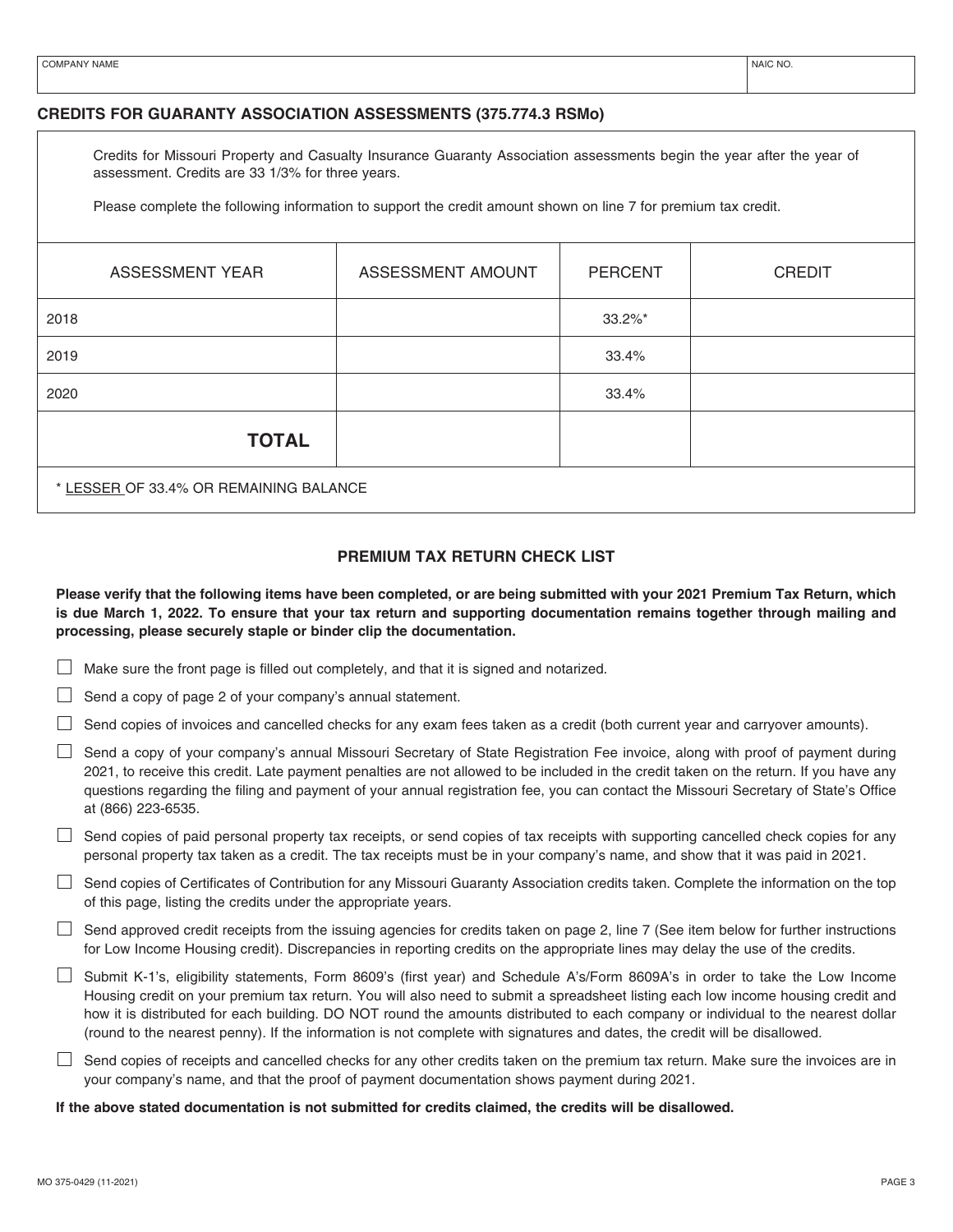## **CREDITS FOR GUARANTY ASSOCIATION ASSESSMENTS (375.774.3 RSMo)**

Credits for Missouri Property and Casualty Insurance Guaranty Association assessments begin the year after the year of assessment. Credits are 33 1/3% for three years.

Please complete the following information to support the credit amount shown on line 7 for premium tax credit.

| ASSESSMENT YEAR                        | ASSESSMENT AMOUNT | <b>PERCENT</b> | <b>CREDIT</b> |  |
|----------------------------------------|-------------------|----------------|---------------|--|
| 2018                                   |                   | 33.2%*         |               |  |
| 2019                                   |                   | 33.4%          |               |  |
| 2020                                   |                   | 33.4%          |               |  |
| <b>TOTAL</b>                           |                   |                |               |  |
| * LESSER OF 33.4% OR REMAINING BALANCE |                   |                |               |  |

## **PREMIUM TAX RETURN CHECK LIST**

**Please verify that the following items have been completed, or are being submitted with your 2021 Premium Tax Return, which is due March 1, 2022. To ensure that your tax return and supporting documentation remains together through mailing and processing, please securely staple or binder clip the documentation.**

|  |  | $\Box$ Make sure the front page is filled out completely, and that it is signed and notarized. |  |  |  |  |
|--|--|------------------------------------------------------------------------------------------------|--|--|--|--|
|--|--|------------------------------------------------------------------------------------------------|--|--|--|--|

 $\Box$  Send a copy of page 2 of your company's annual statement.

 $\Box$  Send copies of invoices and cancelled checks for any exam fees taken as a credit (both current year and carryover amounts).

- $\Box$  Send a copy of your company's annual Missouri Secretary of State Registration Fee invoice, along with proof of payment during 2021, to receive this credit. Late payment penalties are not allowed to be included in the credit taken on the return. If you have any questions regarding the filing and payment of your annual registration fee, you can contact the Missouri Secretary of State's Office at (866) 223-6535.
- $\Box$  Send copies of paid personal property tax receipts, or send copies of tax receipts with supporting cancelled check copies for any personal property tax taken as a credit. The tax receipts must be in your company's name, and show that it was paid in 2021.
- $\Box$  Send copies of Certificates of Contribution for any Missouri Guaranty Association credits taken. Complete the information on the top of this page, listing the credits under the appropriate years.
- $\Box$  Send approved credit receipts from the issuing agencies for credits taken on page 2, line 7 (See item below for further instructions for Low Income Housing credit). Discrepancies in reporting credits on the appropriate lines may delay the use of the credits.
- Submit K-1's, eligibility statements, Form 8609's (first year) and Schedule A's/Form 8609A's in order to take the Low Income Housing credit on your premium tax return. You will also need to submit a spreadsheet listing each low income housing credit and how it is distributed for each building. DO NOT round the amounts distributed to each company or individual to the nearest dollar (round to the nearest penny). If the information is not complete with signatures and dates, the credit will be disallowed.
- $\Box$  Send copies of receipts and cancelled checks for any other credits taken on the premium tax return. Make sure the invoices are in your company's name, and that the proof of payment documentation shows payment during 2021.

**If the above stated documentation is not submitted for credits claimed, the credits will be disallowed.**